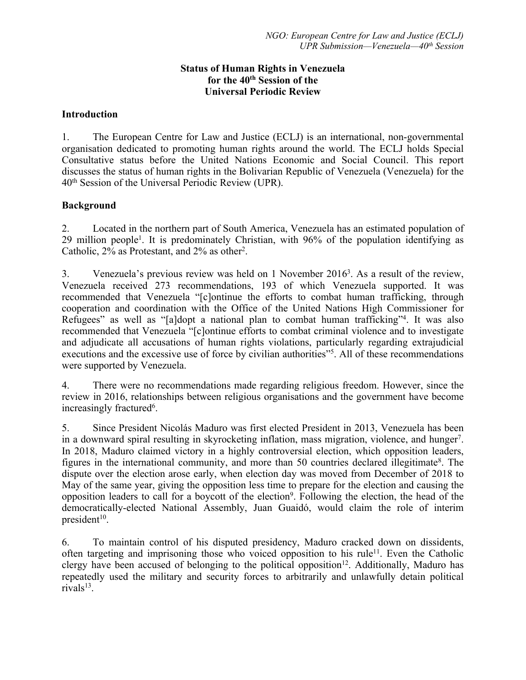### **Status of Human Rights in Venezuela for the 40th Session of the Universal Periodic Review**

### **Introduction**

1. The European Centre for Law and Justice (ECLJ) is an international, non-governmental organisation dedicated to promoting human rights around the world. The ECLJ holds Special Consultative status before the United Nations Economic and Social Council. This repor<sup>t</sup> discusses the status of human rights in the Bolivarian Republic of Venezuela (Venezuela) for the 40th Session of the Universal Periodic Review (UPR).

### **Background**

2. Located in the northern par<sup>t</sup> of South America, Venezuela has an estimated population of 29 million people<sup>1</sup>. It is predominately Christian, with 96% of the population identifying as Catholic, 2% as Protestant, and 2% as other 2 .

3. Venezuela's previous review was held on 1 November 2016<sup>3</sup>. As a result of the review, Venezuela received 273 recommendations, 193 of which Venezuela supported. It was recommended that Venezuela "[c]ontinue the efforts to combat human trafficking, through cooperation and coordination with the Office of the United Nations High Commissioner for Refugees" as well as "[a]dopt <sup>a</sup> national <sup>p</sup>lan to combat human trafficking"<sup>4</sup> . It was also recommended that Venezuela "[c]ontinue efforts to combat criminal violence and to investigate and adjudicate all accusations of human rights violations, particularly regarding extrajudicial executions and the excessive use of force by civilian authorities"<sup>5</sup>. All of these recommendations were supported by Venezuela.

4. There were no recommendations made regarding religious freedom. However, since the review in 2016, relationships between religious organisations and the governmen<sup>t</sup> have become increasingly fractured<sup>6</sup>.

5. Since President Nicolás Maduro was first elected President in 2013, Venezuela has been in <sup>a</sup> downward spiral resulting in skyrocketing inflation, mass migration, violence, and hunger 7 . In 2018, Maduro claimed victory in <sup>a</sup> highly controversial election, which opposition leaders, figures in the international community, and more than 50 countries declared illegitimate<sup>8</sup>. The dispute over the election arose early, when election day was moved from December of 2018 to May of the same year, giving the opposition less time to prepare for the election and causing the opposition leaders to call for a boycott of the election<sup>9</sup>. Following the election, the head of the democratically-elected National Assembly, Juan Guaidó, would claim the role of interim president<sup>10</sup>.

6. To maintain control of his disputed presidency, Maduro cracked down on dissidents, often targeting and imprisoning those who voiced opposition to his rule<sup>11</sup>. Even the Catholic clergy have been accused of belonging to the political opposition<sup>12</sup>. Additionally, Maduro has repeatedly used the military and security forces to arbitrarily and unlawfully detain political rivals<sup>13</sup>.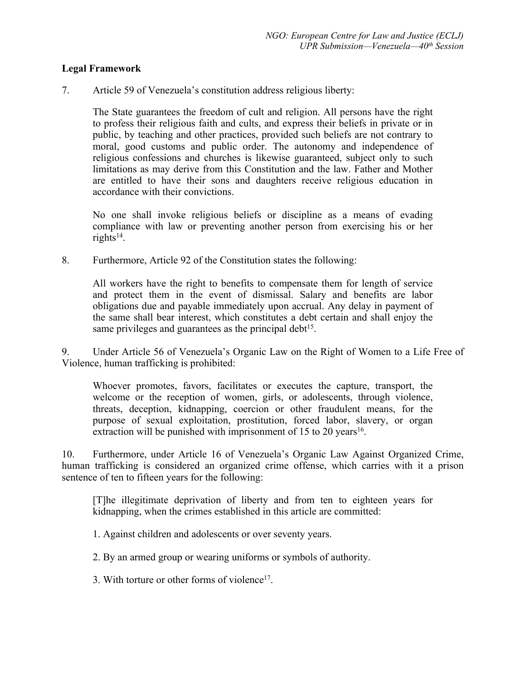### **Legal Framework**

7. Article 59 of Venezuela'<sup>s</sup> constitution address religious liberty:

The State guarantees the freedom of cult and religion. All persons have the right to profess their religious faith and cults, and express their beliefs in private or in public, by teaching and other practices, provided such beliefs are not contrary to moral, good customs and public order. The autonomy and independence of religious confessions and churches is likewise guaranteed, subject only to such limitations as may derive from this Constitution and the law. Father and Mother are entitled to have their sons and daughters receive religious education in accordance with their convictions.

No one shall invoke religious beliefs or discipline as <sup>a</sup> means of evading compliance with law or preventing another person from exercising his or her rights 14 .

8. Furthermore, Article 92 of the Constitution states the following:

All workers have the right to benefits to compensate them for length of service and protect them in the event of dismissal. Salary and benefits are labor obligations due and payable immediately upon accrual. Any delay in paymen<sup>t</sup> of the same shall bear interest, which constitutes <sup>a</sup> debt certain and shall enjoy the same privileges and guarantees as the principal debt<sup>15</sup>.

9. Under Article 56 of Venezuela'<sup>s</sup> Organic Law on the Right of Women to <sup>a</sup> Life Free of Violence, human trafficking is prohibited:

Whoever promotes, favors, facilitates or executes the capture, transport, the welcome or the reception of women, girls, or adolescents, through violence, threats, deception, kidnapping, coercion or other fraudulent means, for the purpose of sexual exploitation, prostitution, forced labor, slavery, or organ extraction will be punished with imprisonment of 15 to 20 years<sup>16</sup>.

10. Furthermore, under Article 16 of Venezuela'<sup>s</sup> Organic Law Against Organized Crime, human trafficking is considered an organized crime offense, which carries with it <sup>a</sup> prison sentence of ten to fifteen years for the following:

[T]he illegitimate deprivation of liberty and from ten to eighteen years for kidnapping, when the crimes established in this article are committed:

1. Against children and adolescents or over seventy years.

2. By an armed group or wearing uniforms or symbols of authority.

3. With torture or other forms of violence<sup>17</sup>.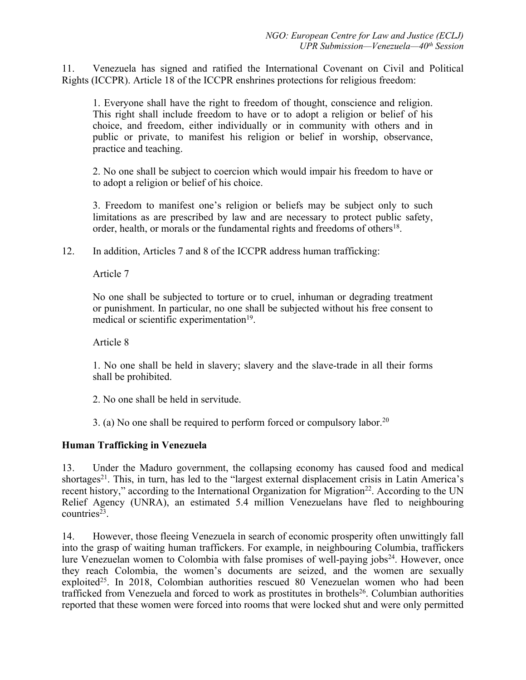11. Venezuela has signed and ratified the International Covenant on Civil and Political Rights (ICCPR). Article 18 of the ICCPR enshrines protections for religious freedom:

1. Everyone shall have the right to freedom of thought, conscience and religion. This right shall include freedom to have or to adopt <sup>a</sup> religion or belief of his choice, and freedom, either individually or in community with others and in public or private, to manifest his religion or belief in worship, observance, practice and teaching.

2. No one shall be subject to coercion which would impair his freedom to have or to adopt <sup>a</sup> religion or belief of his choice.

3. Freedom to manifest one'<sup>s</sup> religion or beliefs may be subject only to such limitations as are prescribed by law and are necessary to protect public safety, order, health, or morals or the fundamental rights and freedoms of others<sup>18</sup>.

12. In addition, Articles 7 and 8 of the ICCPR address human trafficking:

Article 7

No one shall be subjected to torture or to cruel, inhuman or degrading treatment or punishment. In particular, no one shall be subjected without his free consent to medical or scientific experimentation<sup>19</sup>.

Article 8

1. No one shall be held in slavery; slavery and the slave-trade in all their forms shall be prohibited.

2. No one shall be held in servitude.

3. (a) No one shall be required to perform forced or compulsory labor.<sup>20</sup>

# **Human Trafficking in Venezuela**

13. Under the Maduro government, the collapsing economy has caused food and medical shortages 21 . This, in turn, has led to the "largest external displacement crisis in Latin America'<sup>s</sup> recent history," according to the International Organization for Migration<sup>22</sup>. According to the UN Relief Agency (UNRA), an estimated 5.4 million Venezuelans have fled to neighbouring countries 23 .

14. However, those fleeing Venezuela in search of economic prosperity often unwittingly fall into the grasp of waiting human traffickers. For example, in neighbouring Columbia, traffickers lure Venezuelan women to Colombia with false promises of well-paying jobs<sup>24</sup>. However, once they reach Colombia, the women'<sup>s</sup> documents are seized, and the women are sexually exploited<sup>25</sup>. In 2018, Colombian authorities rescued 80 Venezuelan women who had been trafficked from Venezuela and forced to work as prostitutes in brothels 26 . Columbian authorities reported that these women were forced into rooms that were locked shut and were only permitted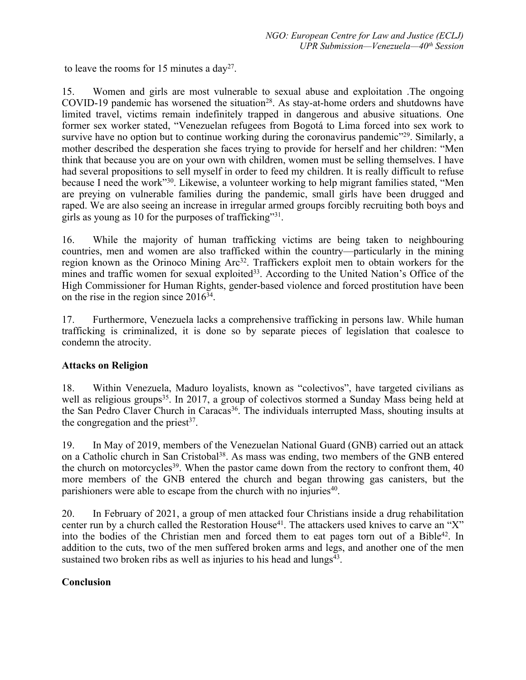to leave the rooms for 15 minutes a day<sup>27</sup>.

15. Women and girls are most vulnerable to sexual abuse and exploitation .The ongoing COVID-19 pandemic has worsened the situation<sup>28</sup>. As stay-at-home orders and shutdowns have limited travel, victims remain indefinitely trapped in dangerous and abusive situations. One former sex worker stated, "Venezuelan refugees from Bogotá to Lima forced into sex work to survive have no option but to continue working during the coronavirus pandemic"<sup>29</sup>. Similarly, a mother described the desperation she faces trying to provide for herself and her children: "Men think that because you are on your own with children, women must be selling themselves. I have had several propositions to sell myself in order to feed my children. It is really difficult to refuse because I need the work"<sup>30</sup>. Likewise, a volunteer working to help migrant families stated, "Men are preying on vulnerable families during the pandemic, small girls have been drugged and raped. We are also seeing an increase in irregular armed groups forcibly recruiting both boys and girls as young as 10 for the purposes of trafficking"<sup>31</sup>.

16. While the majority of human trafficking victims are being taken to neighbouring countries, men and women are also trafficked within the country—particularly in the mining region known as the Orinoco Mining Arc<sup>32</sup>. Traffickers exploit men to obtain workers for the mines and traffic women for sexual exploited<sup>33</sup>. According to the United Nation's Office of the High Commissioner for Human Rights, gender-based violence and forced prostitution have been on the rise in the region since 2016<sup>34</sup>.

17. Furthermore, Venezuela lacks <sup>a</sup> comprehensive trafficking in persons law. While human trafficking is criminalized, it is done so by separate pieces of legislation that coalesce to condemn the atrocity.

# **Attacks on Religion**

18. Within Venezuela, Maduro loyalists, known as "colectivos", have targeted civilians as well as religious groups 35 . In 2017, <sup>a</sup> group of colectivos stormed <sup>a</sup> Sunday Mass being held at the San Pedro Claver Church in Caracas 36 . The individuals interrupted Mass, shouting insults at the congregation and the priest<sup>37</sup>.

19. In May of 2019, members of the Venezuelan National Guard (GNB) carried out an attack on a Catholic church in San Cristobal<sup>38</sup>. As mass was ending, two members of the GNB entered the church on motorcycles<sup>39</sup>. When the pastor came down from the rectory to confront them, 40 more members of the GNB entered the church and began throwing gas canisters, but the parishioners were able to escape from the church with no injuries 40 .

20. In February of 2021, <sup>a</sup> group of men attacked four Christians inside <sup>a</sup> drug rehabilitation center run by a church called the Restoration House<sup>41</sup>. The attackers used knives to carve an "X" into the bodies of the Christian men and forced them to eat pages torn out of a Bible<sup>42</sup>. In addition to the cuts, two of the men suffered broken arms and legs, and another one of the men sustained two broken ribs as well as injuries to his head and lungs<sup>43</sup>.

# **Conclusion**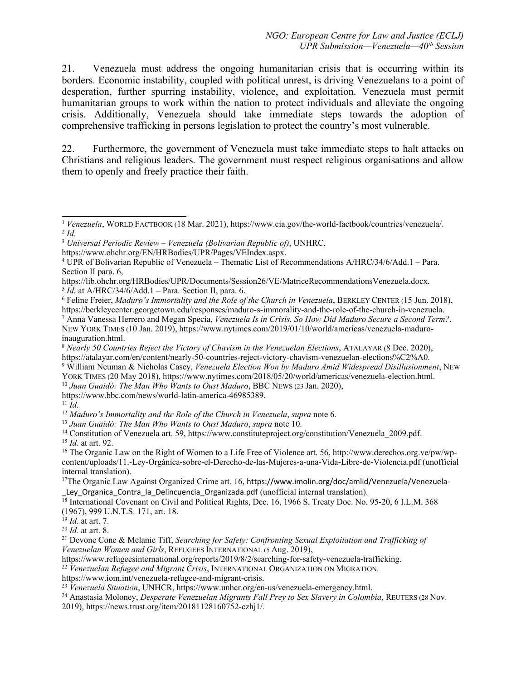21. Venezuela must address the ongoing humanitarian crisis that is occurring within its borders. Economic instability, coupled with political unrest, is driving Venezuelans to <sup>a</sup> point of desperation, further spurring instability, violence, and exploitation. Venezuela must permit humanitarian groups to work within the nation to protect individuals and alleviate the ongoing crisis. Additionally, Venezuela should take immediate steps towards the adoption of comprehensive trafficking in persons legislation to protect the country'<sup>s</sup> most vulnerable.

22. Furthermore, the governmen<sup>t</sup> of Venezuela must take immediate steps to halt attacks on Christians and religious leaders. The governmen<sup>t</sup> must respec<sup>t</sup> religious organisations and allow them to openly and freely practice their faith.

 $<sup>5</sup> Id.$  at A/HRC/34/6/Add.1 – Para. Section II, para. 6.</sup>

https://www.bbc.com/news/world-latin-america-46985389.

11 *Id.*

<sup>12</sup> *Maduro'<sup>s</sup> Immortality and the Role of the Church in Venezuela*, *supra* note 6.

13 *Juan Guaidó: The Man Who Wants to Oust Maduro*, *supra* note 10.

<sup>14</sup> Constitution of Venezuela art. 59, https://www.constituteproject.org/constitution/Venezuela\_2009.pdf. 15 *Id.* at art. 92.

<sup>16</sup> The Organic Law on the Right of Women to a Life Free of Violence art. 56, http://www.derechos.org.ve/pw/wpcontent/uploads/11.-Ley-Orgánica-sobre-el-Derecho-de-las-Mujeres-a-una-Vida-Libre-de-Violencia.pdf (unofficial internal translation).

<sup>17</sup>The Organic Law Against Organized Crime art. 16, https://www.imolin.org/doc/amlid/Venezuela/Venezuela-Ley Organica Contra la Delincuencia Organizada.pdf (unofficial internal translation).

<sup>18</sup> International Covenant on Civil and Political Rights, Dec. 16, 1966 S. Treaty Doc. No. 95-20, 6 I.L.M. 368 (1967), 999 U.N.T.S. 171, art. 18. 19 *Id.* at art. 7.

20 *Id.* at art. 8.

<sup>21</sup> Devone Cone & Melanie Tiff, *Searching for Safety: Confronting Sexual Exploitation and Trafficking of Venezuelan Women and Girls*, REFUGEES INTERNATIONAL (5 Aug. 2019),

https://www.refugeesinternational.org/reports/2019/8/2/searching-for-safety-venezuela-trafficking.

22 *Venezuelan Refugee and Migrant Crisis*, INTERNATIONAL ORGANIZATION ON MIGRATION,

https://www.iom.int/venezuela-refugee-and-migrant-crisis.

23 *Venezuela Situation*, UNHCR, https://www.unhcr.org/en-us/venezuela-emergency.html.

<sup>24</sup> Anastasia Moloney, *Desperate Venezuelan Migrants Fall Prey to Sex Slavery in Colombia*, <sup>R</sup>EUTERS (28 Nov.

2019), https://news.trust.org/item/20181128160752-czhj1/.

<sup>&</sup>lt;sup>1</sup> Venezuela, WORLD FACTBOOK (18 Mar. 2021), https://www.cia.gov/the-world-factbook/countries/venezuela/. 2 *Id.*

<sup>3</sup> *Universal Periodic Review – Venezuela (Bolivarian Republic of)*, UNHRC,

https://www.ohchr.org/EN/HRBodies/UPR/Pages/VEIndex.aspx.

<sup>4</sup> UPR of Bolivarian Republic of Venezuela – Thematic List of Recommendations A/HRC/34/6/Add.1 – Para. Section II para. 6,

https://lib.ohchr.org/HRBodies/UPR/Documents/Session26/VE/MatriceRecommendationsVenezuela.docx.

<sup>6</sup> Feline Freier, *Maduro'<sup>s</sup> Immortality and the Role of the Church in Venezuela*, BERKLEY CENTER (15 Jun. 2018), https://berkleycenter.georgetown.edu/responses/maduro-s-immorality-and-the-role-of-the-church-in-venezuela. <sup>7</sup> Anna Vanessa Herrero and Megan Specia, *Venezuela Is in Crisis. So How Did Maduro Secure <sup>a</sup> Second Term?*,

NEW YORK TIMES (10 Jan. 2019), https://www.nytimes.com/2019/01/10/world/americas/venezuela-maduroinauguration.html.

<sup>8</sup> *Nearly 50 Countries Reject the Victory of Chavism in the Venezuelan Elections*, <sup>A</sup>TALAYAR (8 Dec. 2020), https://atalayar.com/en/content/nearly-50-countries-reject-victory-chavism-venezuelan-elections%C2%A0.

<sup>9</sup> William Neuman & Nicholas Casey, *Venezuela Election Won by Maduro Amid Widespread Disillusionment*, <sup>N</sup>EW YORK TIMES (20 May 2018), https://www.nytimes.com/2018/05/20/world/americas/venezuela-election.html.

<sup>10</sup> *Juan Guaidó: The Man Who Wants to Oust Maduro*, BBC NEWS (23 Jan. 2020),